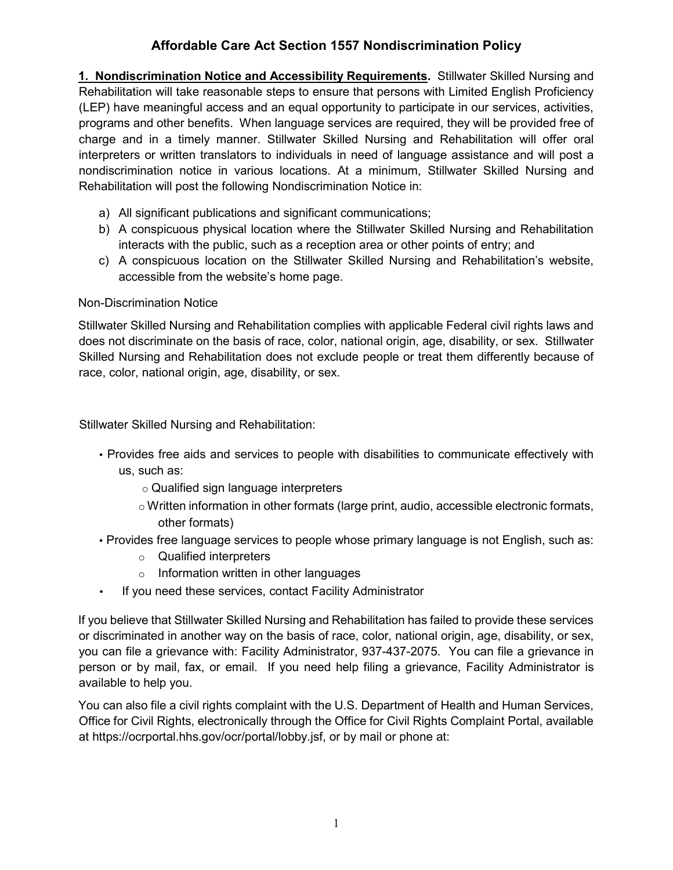# **Affordable Care Act Section 1557 Nondiscrimination Policy**

**1. Nondiscrimination Notice and Accessibility Requirements.** Stillwater Skilled Nursing and Rehabilitation will take reasonable steps to ensure that persons with Limited English Proficiency (LEP) have meaningful access and an equal opportunity to participate in our services, activities, programs and other benefits. When language services are required, they will be provided free of charge and in a timely manner. Stillwater Skilled Nursing and Rehabilitation will offer oral interpreters or written translators to individuals in need of language assistance and will post a nondiscrimination notice in various locations. At a minimum, Stillwater Skilled Nursing and Rehabilitation will post the following Nondiscrimination Notice in:

- a) All significant publications and significant communications;
- b) A conspicuous physical location where the Stillwater Skilled Nursing and Rehabilitation interacts with the public, such as a reception area or other points of entry; and
- c) A conspicuous location on the Stillwater Skilled Nursing and Rehabilitation's website, accessible from the website's home page.

## Non-Discrimination Notice

Stillwater Skilled Nursing and Rehabilitation complies with applicable Federal civil rights laws and does not discriminate on the basis of race, color, national origin, age, disability, or sex. Stillwater Skilled Nursing and Rehabilitation does not exclude people or treat them differently because of race, color, national origin, age, disability, or sex.

Stillwater Skilled Nursing and Rehabilitation:

- Provides free aids and services to people with disabilities to communicate effectively with us, such as:
	- o Qualified sign language interpreters
	- $\circ$  Written information in other formats (large print, audio, accessible electronic formats, other formats)
- Provides free language services to people whose primary language is not English, such as:
	- o Qualified interpreters
	- $\circ$  Information written in other languages
- If you need these services, contact Facility Administrator

If you believe that Stillwater Skilled Nursing and Rehabilitation has failed to provide these services or discriminated in another way on the basis of race, color, national origin, age, disability, or sex, you can file a grievance with: Facility Administrator, 937-437-2075. You can file a grievance in person or by mail, fax, or email. If you need help filing a grievance, Facility Administrator is available to help you.

You can also file a civil rights complaint with the U.S. Department of Health and Human Services, Office for Civil Rights, electronically through the Office for Civil Rights Complaint Portal, available at https://ocrportal.hhs.gov/ocr/portal/lobby.jsf, or by mail or phone at: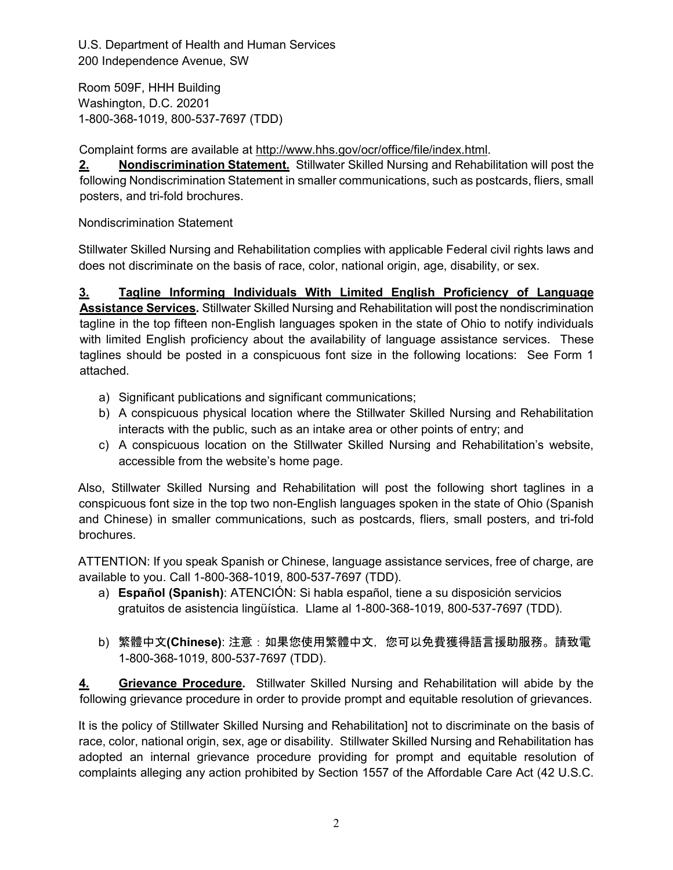U.S. Department of Health and Human Services 200 Independence Avenue, SW

Room 509F, HHH Building Washington, D.C. 20201 1-800-368-1019, 800-537-7697 (TDD)

Complaint forms are available at [http://www.hhs.gov/ocr/office/file/index.html.](http://www.hhs.gov/ocr/office/file/index.html)

**2. Nondiscrimination Statement.** Stillwater Skilled Nursing and Rehabilitation will post the following Nondiscrimination Statement in smaller communications, such as postcards, fliers, small posters, and tri-fold brochures.

Nondiscrimination Statement

Stillwater Skilled Nursing and Rehabilitation complies with applicable Federal civil rights laws and does not discriminate on the basis of race, color, national origin, age, disability, or sex.

**3. Tagline Informing Individuals With Limited English Proficiency of Language Assistance Services.** Stillwater Skilled Nursing and Rehabilitation will post the nondiscrimination tagline in the top fifteen non-English languages spoken in the state of Ohio to notify individuals with limited English proficiency about the availability of language assistance services. These taglines should be posted in a conspicuous font size in the following locations: See Form 1 attached.

- a) Significant publications and significant communications;
- b) A conspicuous physical location where the Stillwater Skilled Nursing and Rehabilitation interacts with the public, such as an intake area or other points of entry; and
- c) A conspicuous location on the Stillwater Skilled Nursing and Rehabilitation's website, accessible from the website's home page.

Also, Stillwater Skilled Nursing and Rehabilitation will post the following short taglines in a conspicuous font size in the top two non-English languages spoken in the state of Ohio (Spanish and Chinese) in smaller communications, such as postcards, fliers, small posters, and tri-fold brochures.

ATTENTION: If you speak Spanish or Chinese, language assistance services, free of charge, are available to you. Call 1-800-368-1019, 800-537-7697 (TDD).

- a) **Español (Spanish)**: ATENCIÓN: Si habla español, tiene a su disposición servicios gratuitos de asistencia lingüística. Llame al 1-800-368-1019, 800-537-7697 (TDD).
- b) 繁體中文**(Chinese)**: 注意:如果您使用繁體中文,您可以免費獲得語言援助服務。請致電 1-800-368-1019, 800-537-7697 (TDD).

**4. Grievance Procedure.** Stillwater Skilled Nursing and Rehabilitation will abide by the following grievance procedure in order to provide prompt and equitable resolution of grievances.

It is the policy of Stillwater Skilled Nursing and Rehabilitation] not to discriminate on the basis of race, color, national origin, sex, age or disability. Stillwater Skilled Nursing and Rehabilitation has adopted an internal grievance procedure providing for prompt and equitable resolution of complaints alleging any action prohibited by Section 1557 of the Affordable Care Act (42 U.S.C.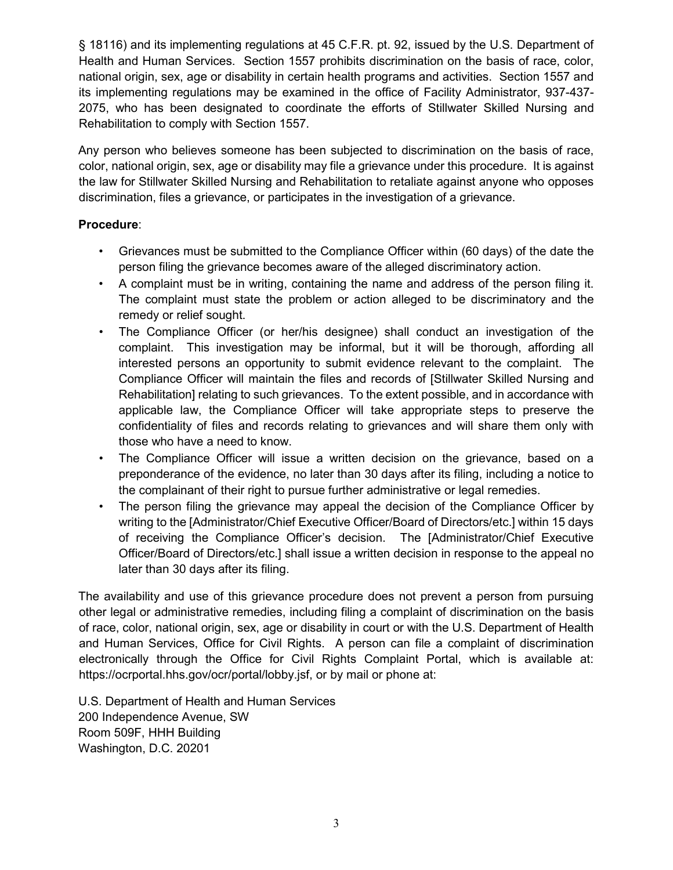§ 18116) and its implementing regulations at 45 C.F.R. pt. 92, issued by the U.S. Department of Health and Human Services. Section 1557 prohibits discrimination on the basis of race, color, national origin, sex, age or disability in certain health programs and activities. Section 1557 and its implementing regulations may be examined in the office of Facility Administrator, 937-437- 2075, who has been designated to coordinate the efforts of Stillwater Skilled Nursing and Rehabilitation to comply with Section 1557.

Any person who believes someone has been subjected to discrimination on the basis of race, color, national origin, sex, age or disability may file a grievance under this procedure. It is against the law for Stillwater Skilled Nursing and Rehabilitation to retaliate against anyone who opposes discrimination, files a grievance, or participates in the investigation of a grievance.

## **Procedure**:

- Grievances must be submitted to the Compliance Officer within (60 days) of the date the person filing the grievance becomes aware of the alleged discriminatory action.
- A complaint must be in writing, containing the name and address of the person filing it. The complaint must state the problem or action alleged to be discriminatory and the remedy or relief sought.
- The Compliance Officer (or her/his designee) shall conduct an investigation of the complaint. This investigation may be informal, but it will be thorough, affording all interested persons an opportunity to submit evidence relevant to the complaint. The Compliance Officer will maintain the files and records of [Stillwater Skilled Nursing and Rehabilitation] relating to such grievances. To the extent possible, and in accordance with applicable law, the Compliance Officer will take appropriate steps to preserve the confidentiality of files and records relating to grievances and will share them only with those who have a need to know.
- The Compliance Officer will issue a written decision on the grievance, based on a preponderance of the evidence, no later than 30 days after its filing, including a notice to the complainant of their right to pursue further administrative or legal remedies.
- The person filing the grievance may appeal the decision of the Compliance Officer by writing to the [Administrator/Chief Executive Officer/Board of Directors/etc.] within 15 days of receiving the Compliance Officer's decision. The [Administrator/Chief Executive Officer/Board of Directors/etc.] shall issue a written decision in response to the appeal no later than 30 days after its filing.

The availability and use of this grievance procedure does not prevent a person from pursuing other legal or administrative remedies, including filing a complaint of discrimination on the basis of race, color, national origin, sex, age or disability in court or with the U.S. Department of Health and Human Services, Office for Civil Rights. A person can file a complaint of discrimination electronically through the Office for Civil Rights Complaint Portal, which is available at: https://ocrportal.hhs.gov/ocr/portal/lobby.jsf, or by mail or phone at:

U.S. Department of Health and Human Services 200 Independence Avenue, SW Room 509F, HHH Building Washington, D.C. 20201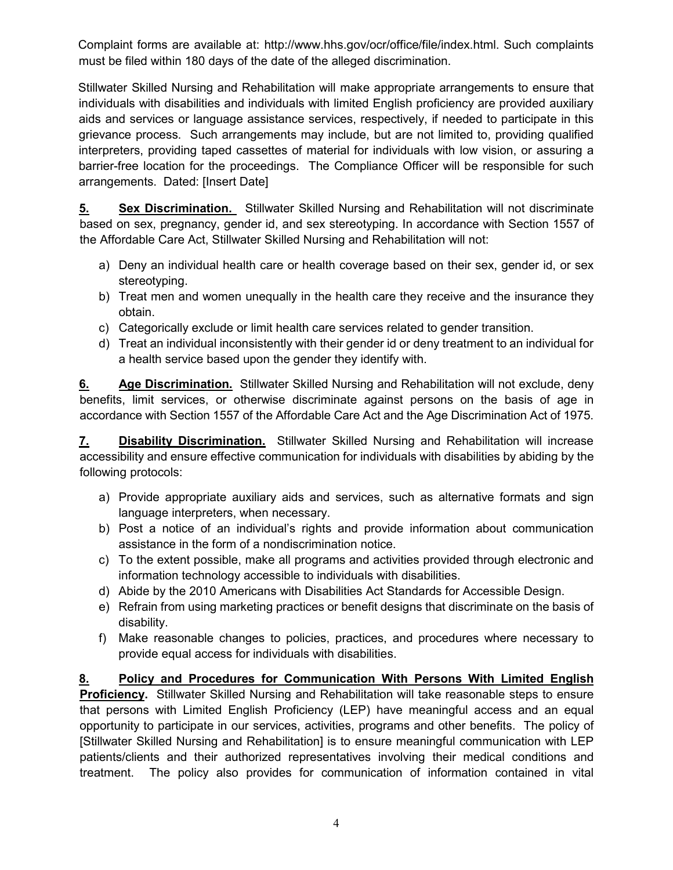Complaint forms are available at: http://www.hhs.gov/ocr/office/file/index.html. Such complaints must be filed within 180 days of the date of the alleged discrimination.

Stillwater Skilled Nursing and Rehabilitation will make appropriate arrangements to ensure that individuals with disabilities and individuals with limited English proficiency are provided auxiliary aids and services or language assistance services, respectively, if needed to participate in this grievance process. Such arrangements may include, but are not limited to, providing qualified interpreters, providing taped cassettes of material for individuals with low vision, or assuring a barrier-free location for the proceedings. The Compliance Officer will be responsible for such arrangements. Dated: [Insert Date]

**5. Sex Discrimination.** Stillwater Skilled Nursing and Rehabilitation will not discriminate based on sex, pregnancy, gender id, and sex stereotyping. In accordance with Section 1557 of the Affordable Care Act, Stillwater Skilled Nursing and Rehabilitation will not:

- a) Deny an individual health care or health coverage based on their sex, gender id, or sex stereotyping.
- b) Treat men and women unequally in the health care they receive and the insurance they obtain.
- c) Categorically exclude or limit health care services related to gender transition.
- d) Treat an individual inconsistently with their gender id or deny treatment to an individual for a health service based upon the gender they identify with.

**6. Age Discrimination.** Stillwater Skilled Nursing and Rehabilitation will not exclude, deny benefits, limit services, or otherwise discriminate against persons on the basis of age in accordance with Section 1557 of the Affordable Care Act and the Age Discrimination Act of 1975.

**7. Disability Discrimination.** Stillwater Skilled Nursing and Rehabilitation will increase accessibility and ensure effective communication for individuals with disabilities by abiding by the following protocols:

- a) Provide appropriate auxiliary aids and services, such as alternative formats and sign language interpreters, when necessary.
- b) Post a notice of an individual's rights and provide information about communication assistance in the form of a nondiscrimination notice.
- c) To the extent possible, make all programs and activities provided through electronic and information technology accessible to individuals with disabilities.
- d) Abide by the 2010 Americans with Disabilities Act Standards for Accessible Design.
- e) Refrain from using marketing practices or benefit designs that discriminate on the basis of disability.
- f) Make reasonable changes to policies, practices, and procedures where necessary to provide equal access for individuals with disabilities.

**8. Policy and Procedures for Communication With Persons With Limited English Proficiency.** Stillwater Skilled Nursing and Rehabilitation will take reasonable steps to ensure that persons with Limited English Proficiency (LEP) have meaningful access and an equal opportunity to participate in our services, activities, programs and other benefits. The policy of [Stillwater Skilled Nursing and Rehabilitation] is to ensure meaningful communication with LEP patients/clients and their authorized representatives involving their medical conditions and treatment. The policy also provides for communication of information contained in vital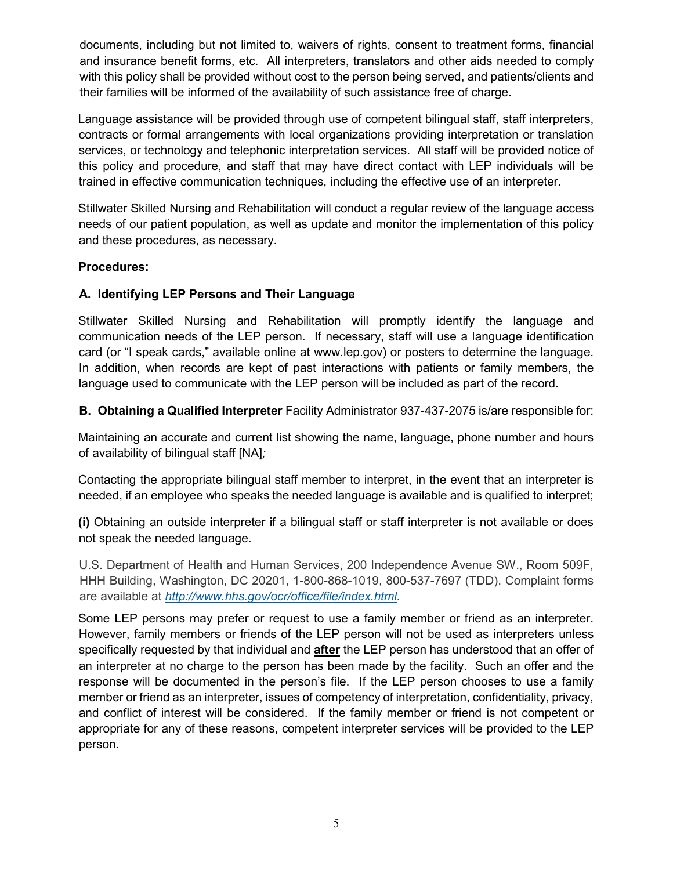documents, including but not limited to, waivers of rights, consent to treatment forms, financial and insurance benefit forms, etc. All interpreters, translators and other aids needed to comply with this policy shall be provided without cost to the person being served, and patients/clients and their families will be informed of the availability of such assistance free of charge.

Language assistance will be provided through use of competent bilingual staff, staff interpreters, contracts or formal arrangements with local organizations providing interpretation or translation services, or technology and telephonic interpretation services. All staff will be provided notice of this policy and procedure, and staff that may have direct contact with LEP individuals will be trained in effective communication techniques, including the effective use of an interpreter.

Stillwater Skilled Nursing and Rehabilitation will conduct a regular review of the language access needs of our patient population, as well as update and monitor the implementation of this policy and these procedures, as necessary.

## **Procedures:**

## **A. Identifying LEP Persons and Their Language**

Stillwater Skilled Nursing and Rehabilitation will promptly identify the language and communication needs of the LEP person. If necessary, staff will use a language identification card (or "I speak cards," available online at www.lep.gov) or posters to determine the language. In addition, when records are kept of past interactions with patients or family members, the language used to communicate with the LEP person will be included as part of the record.

**B. Obtaining a Qualified Interpreter** Facility Administrator 937-437-2075 is/are responsible for:

Maintaining an accurate and current list showing the name, language, phone number and hours of availability of bilingual staff [NA]*;*

Contacting the appropriate bilingual staff member to interpret, in the event that an interpreter is needed, if an employee who speaks the needed language is available and is qualified to interpret;

**(i)** Obtaining an outside interpreter if a bilingual staff or staff interpreter is not available or does not speak the needed language.

U.S. Department of Health and Human Services, 200 Independence Avenue SW., Room 509F, HHH Building, Washington, DC 20201, 1-800-868-1019, 800-537-7697 (TDD). Complaint forms are available at *[http://www.hhs.gov/ocr/office/file/index.html.](http://www.hhs.gov/ocr/office/file/index.html)*

Some LEP persons may prefer or request to use a family member or friend as an interpreter. However, family members or friends of the LEP person will not be used as interpreters unless specifically requested by that individual and **after** the LEP person has understood that an offer of an interpreter at no charge to the person has been made by the facility. Such an offer and the response will be documented in the person's file. If the LEP person chooses to use a family member or friend as an interpreter, issues of competency of interpretation, confidentiality, privacy, and conflict of interest will be considered. If the family member or friend is not competent or appropriate for any of these reasons, competent interpreter services will be provided to the LEP person.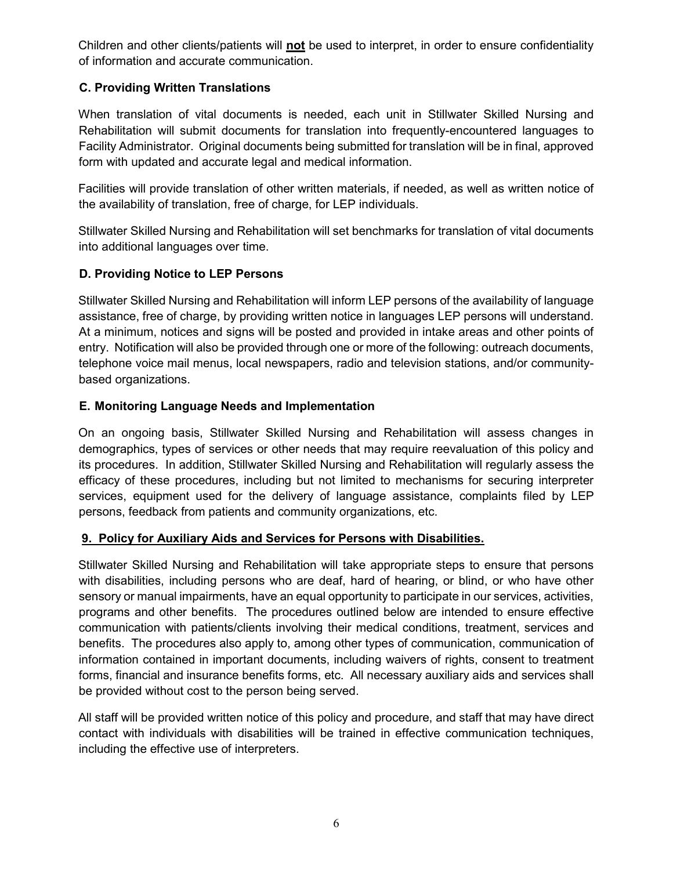Children and other clients/patients will **not** be used to interpret, in order to ensure confidentiality of information and accurate communication.

## **C. Providing Written Translations**

When translation of vital documents is needed, each unit in Stillwater Skilled Nursing and Rehabilitation will submit documents for translation into frequently-encountered languages to Facility Administrator. Original documents being submitted for translation will be in final, approved form with updated and accurate legal and medical information.

Facilities will provide translation of other written materials, if needed, as well as written notice of the availability of translation, free of charge, for LEP individuals.

Stillwater Skilled Nursing and Rehabilitation will set benchmarks for translation of vital documents into additional languages over time.

## **D. Providing Notice to LEP Persons**

Stillwater Skilled Nursing and Rehabilitation will inform LEP persons of the availability of language assistance, free of charge, by providing written notice in languages LEP persons will understand. At a minimum, notices and signs will be posted and provided in intake areas and other points of entry. Notification will also be provided through one or more of the following: outreach documents, telephone voice mail menus, local newspapers, radio and television stations, and/or communitybased organizations.

## **E. Monitoring Language Needs and Implementation**

On an ongoing basis, Stillwater Skilled Nursing and Rehabilitation will assess changes in demographics, types of services or other needs that may require reevaluation of this policy and its procedures. In addition, Stillwater Skilled Nursing and Rehabilitation will regularly assess the efficacy of these procedures, including but not limited to mechanisms for securing interpreter services, equipment used for the delivery of language assistance, complaints filed by LEP persons, feedback from patients and community organizations, etc.

## **9. Policy for Auxiliary Aids and Services for Persons with Disabilities.**

Stillwater Skilled Nursing and Rehabilitation will take appropriate steps to ensure that persons with disabilities, including persons who are deaf, hard of hearing, or blind, or who have other sensory or manual impairments, have an equal opportunity to participate in our services, activities, programs and other benefits. The procedures outlined below are intended to ensure effective communication with patients/clients involving their medical conditions, treatment, services and benefits. The procedures also apply to, among other types of communication, communication of information contained in important documents, including waivers of rights, consent to treatment forms, financial and insurance benefits forms, etc. All necessary auxiliary aids and services shall be provided without cost to the person being served.

All staff will be provided written notice of this policy and procedure, and staff that may have direct contact with individuals with disabilities will be trained in effective communication techniques, including the effective use of interpreters.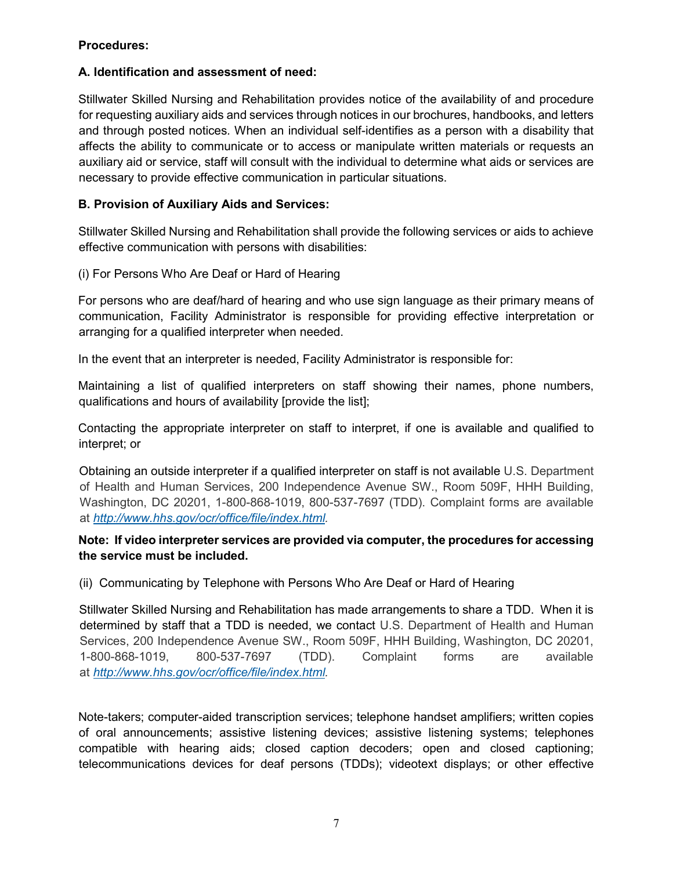## **Procedures:**

## **A. Identification and assessment of need:**

Stillwater Skilled Nursing and Rehabilitation provides notice of the availability of and procedure for requesting auxiliary aids and services through notices in our brochures, handbooks, and letters and through posted notices*.* When an individual self-identifies as a person with a disability that affects the ability to communicate or to access or manipulate written materials or requests an auxiliary aid or service, staff will consult with the individual to determine what aids or services are necessary to provide effective communication in particular situations.

## **B. Provision of Auxiliary Aids and Services:**

Stillwater Skilled Nursing and Rehabilitation shall provide the following services or aids to achieve effective communication with persons with disabilities:

## (i) For Persons Who Are Deaf or Hard of Hearing

For persons who are deaf/hard of hearing and who use sign language as their primary means of communication, Facility Administrator is responsible for providing effective interpretation or arranging for a qualified interpreter when needed.

In the event that an interpreter is needed, Facility Administrator is responsible for:

Maintaining a list of qualified interpreters on staff showing their names, phone numbers, qualifications and hours of availability [provide the list];

Contacting the appropriate interpreter on staff to interpret, if one is available and qualified to interpret; or

Obtaining an outside interpreter if a qualified interpreter on staff is not available U.S. Department of Health and Human Services, 200 Independence Avenue SW., Room 509F, HHH Building, Washington, DC 20201, 1-800-868-1019, 800-537-7697 (TDD). Complaint forms are available at *[http://www.hhs.gov/ocr/office/file/index.html.](http://www.hhs.gov/ocr/office/file/index.html)*

## **Note: If video interpreter services are provided via computer, the procedures for accessing the service must be included.**

(ii) Communicating by Telephone with Persons Who Are Deaf or Hard of Hearing

Stillwater Skilled Nursing and Rehabilitation has made arrangements to share a TDD. When it is determined by staff that a TDD is needed, we contact U.S. Department of Health and Human Services, 200 Independence Avenue SW., Room 509F, HHH Building, Washington, DC 20201, 1-800-868-1019, 800-537-7697 (TDD). Complaint forms are available at *[http://www.hhs.gov/ocr/office/file/index.html.](http://www.hhs.gov/ocr/office/file/index.html)*

Note-takers; computer-aided transcription services; telephone handset amplifiers; written copies of oral announcements; assistive listening devices; assistive listening systems; telephones compatible with hearing aids; closed caption decoders; open and closed captioning; telecommunications devices for deaf persons (TDDs); videotext displays; or other effective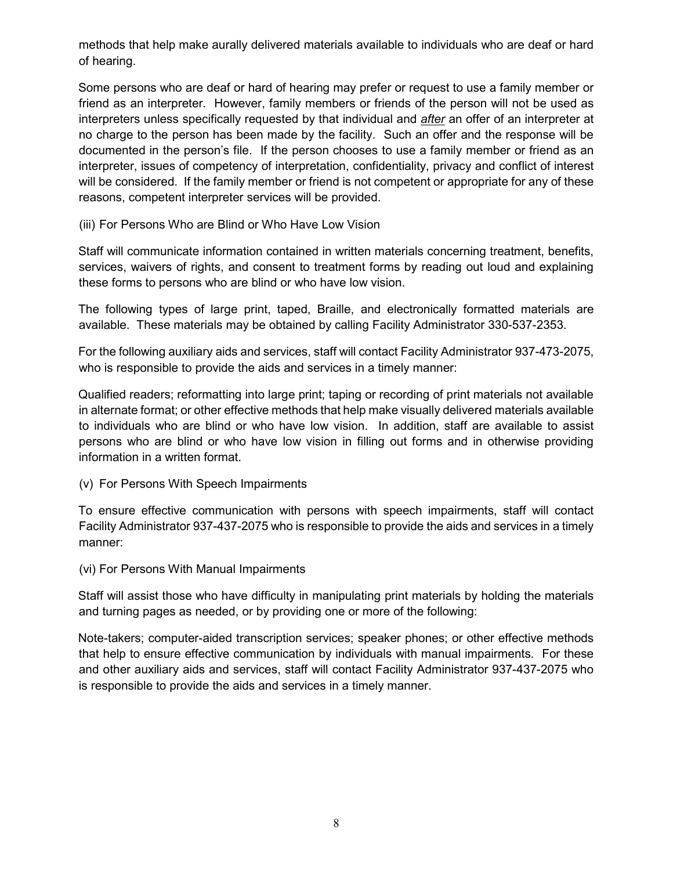methods that help make aurally delivered materials available to individuals who are deaf or hard of hearing.

Some persons who are deaf or hard of hearing may prefer or request to use a family member or friend as an interpreter. However, family members or friends of the person will not be used as interpreters unless specifically requested by that individual and *after* an offer of an interpreter at no charge to the person has been made by the facility. Such an offer and the response will be documented in the person's file. If the person chooses to use a family member or friend as an interpreter, issues of competency of interpretation, confidentiality, privacy and conflict of interest will be considered. If the family member or friend is not competent or appropriate for any of these reasons, competent interpreter services will be provided.

(iii) For Persons Who are Blind or Who Have Low Vision

Staff will communicate information contained in written materials concerning treatment, benefits, services, waivers of rights, and consent to treatment forms by reading out loud and explaining these forms to persons who are blind or who have low vision.

The following types of large print, taped, Braille, and electronically formatted materials are available. These materials may be obtained by calling Facility Administrator 330-537-2353.

For the following auxiliary aids and services, staff will contact Facility Administrator 937-473-2075, who is responsible to provide the aids and services in a timely manner:

Qualified readers; reformatting into large print; taping or recording of print materials not available in alternate format; or other effective methods that help make visually delivered materials available to individuals who are blind or who have low vision. In addition, staff are available to assist persons who are blind or who have low vision in filling out forms and in otherwise providing information in a written format.

(v) For Persons With Speech Impairments

To ensure effective communication with persons with speech impairments, staff will contact Facility Administrator 937-437-2075 who is responsible to provide the aids and services in a timely manner:

(vi) For Persons With Manual Impairments

Staff will assist those who have difficulty in manipulating print materials by holding the materials and turning pages as needed, or by providing one or more of the following:

Note-takers; computer-aided transcription services; speaker phones; or other effective methods that help to ensure effective communication by individuals with manual impairments. For these and other auxiliary aids and services, staff will contact Facility Administrator 937-437-2075 who is responsible to provide the aids and services in a timely manner.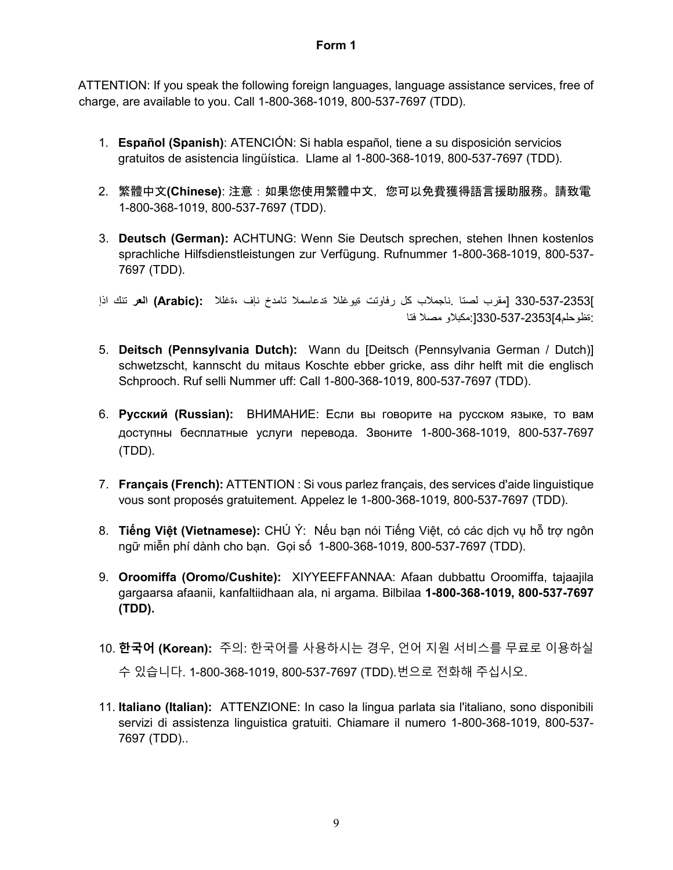#### **Form 1**

ATTENTION: If you speak the following foreign languages, language assistance services, free of charge, are available to you. Call 1-800-368-1019, 800-537-7697 (TDD).

- 1. **Español (Spanish)**: ATENCIÓN: Si habla español, tiene a su disposición servicios gratuitos de asistencia lingüística. Llame al 1-800-368-1019, 800-537-7697 (TDD).
- 2. 繁體中文**(Chinese)**: 注意:如果您使用繁體中文,您可以免費獲得語言援助服務。請致電 1-800-368-1019, 800-537-7697 (TDD).
- 3. **Deutsch (German):** ACHTUNG: Wenn Sie Deutsch sprechen, stehen Ihnen kostenlos sprachliche Hilfsdienstleistungen zur Verfügung. Rufnummer 1-800-368-1019, 800-537- 7697 (TDD).

]330-537-2353 [مقرب لصتا .ناجملاب كل رفاوتت ةیوغللا ةدعاسملا تامدخ نإف ،ةغللا **:(Arabic (العر** تنك اذإ :ةظوحلم4]330-537-2353[:مكبلاو مصلا فتا

- 5. **Deitsch (Pennsylvania Dutch):** Wann du [Deitsch (Pennsylvania German / Dutch)] schwetzscht, kannscht du mitaus Koschte ebber gricke, ass dihr helft mit die englisch Schprooch. Ruf selli Nummer uff: Call 1-800-368-1019, 800-537-7697 (TDD).
- 6. **Русский (Russian):** ВНИМАНИЕ: Если вы говорите на русском языке, то вам доступны бесплатные услуги перевода. Звоните 1-800-368-1019, 800-537-7697 (TDD).
- 7. **Français (French):** ATTENTION : Si vous parlez français, des services d'aide linguistique vous sont proposés gratuitement. Appelez le 1-800-368-1019, 800-537-7697 (TDD).
- 8. **Tiếng Việt (Vietnamese):** CHÚ Ý: Nếu bạn nói Tiếng Việt, có các dịch vụ hỗ trợ ngôn ngữ miễn phí dành cho bạn. Gọi số 1-800-368-1019, 800-537-7697 (TDD).
- 9. **Oroomiffa (Oromo/Cushite):** XIYYEEFFANNAA: Afaan dubbattu Oroomiffa, tajaajila gargaarsa afaanii, kanfaltiidhaan ala, ni argama. Bilbilaa **1-800-368-1019, 800-537-7697 (TDD).**
- 10. **한국어 (Korean):** 주의: 한국어를 사용하시는 경우, 언어 지원 서비스를 무료로 이용하실 수 있습니다. 1-800-368-1019, 800-537-7697 (TDD).번으로 전화해 주십시오.
- 11. **Italiano (Italian):** ATTENZIONE: In caso la lingua parlata sia l'italiano, sono disponibili servizi di assistenza linguistica gratuiti. Chiamare il numero 1-800-368-1019, 800-537- 7697 (TDD)..